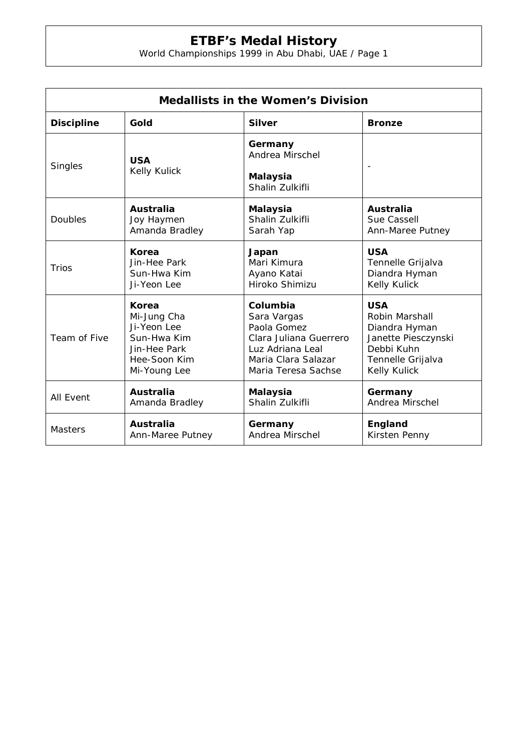## **ETBF's Medal History**

World Championships 1999 in Abu Dhabi, UAE / Page 1

| <b>Medallists in the Women's Division</b> |                            |                                                                  |                     |  |  |
|-------------------------------------------|----------------------------|------------------------------------------------------------------|---------------------|--|--|
| <b>Discipline</b>                         | Gold                       | <b>Silver</b>                                                    | <b>Bronze</b>       |  |  |
| Singles                                   | <b>USA</b><br>Kelly Kulick | Germany<br>Andrea Mirschel<br><b>Malaysia</b><br>Shalin Zulkifli |                     |  |  |
| Doubles                                   | <b>Australia</b>           | <b>Malaysia</b>                                                  | <b>Australia</b>    |  |  |
|                                           | Joy Haymen                 | Shalin Zulkifli                                                  | Sue Cassell         |  |  |
|                                           | Amanda Bradley             | Sarah Yap                                                        | Ann-Maree Putney    |  |  |
| Trios                                     | Korea                      | Japan                                                            | <b>USA</b>          |  |  |
|                                           | Jin-Hee Park               | Mari Kimura                                                      | Tennelle Grijalva   |  |  |
|                                           | Sun-Hwa Kim                | Ayano Katai                                                      | Diandra Hyman       |  |  |
|                                           | Ji-Yeon Lee                | Hiroko Shimizu                                                   | Kelly Kulick        |  |  |
| Team of Five                              | Korea                      | Columbia                                                         | <b>USA</b>          |  |  |
|                                           | Mi-Jung Cha                | Sara Vargas                                                      | Robin Marshall      |  |  |
|                                           | Ji-Yeon Lee                | Paola Gomez                                                      | Diandra Hyman       |  |  |
|                                           | Sun-Hwa Kim                | Clara Juliana Guerrero                                           | Janette Piesczynski |  |  |
|                                           | Jin-Hee Park               | Luz Adriana Leal                                                 | Debbi Kuhn          |  |  |
|                                           | Hee-Soon Kim               | Maria Clara Salazar                                              | Tennelle Grijalva   |  |  |
|                                           | Mi-Young Lee               | Maria Teresa Sachse                                              | Kelly Kulick        |  |  |
| All Event                                 | <b>Australia</b>           | <b>Malaysia</b>                                                  | Germany             |  |  |
|                                           | Amanda Bradley             | Shalin Zulkifli                                                  | Andrea Mirschel     |  |  |
| <b>Masters</b>                            | <b>Australia</b>           | Germany                                                          | England             |  |  |
|                                           | Ann-Maree Putney           | Andrea Mirschel                                                  | Kirsten Penny       |  |  |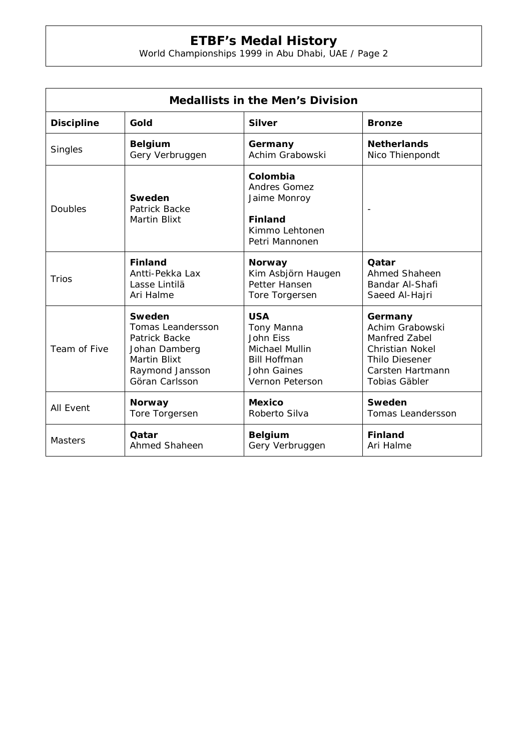## **ETBF's Medal History**

World Championships 1999 in Abu Dhabi, UAE / Page 2

| <b>Medallists in the Men's Division</b> |                                                |                                                                                                       |                          |  |  |
|-----------------------------------------|------------------------------------------------|-------------------------------------------------------------------------------------------------------|--------------------------|--|--|
| <b>Discipline</b>                       | Gold                                           | <b>Silver</b>                                                                                         | <b>Bronze</b>            |  |  |
| Singles                                 | <b>Belgium</b>                                 | Germany                                                                                               | <b>Netherlands</b>       |  |  |
|                                         | Gery Verbruggen                                | Achim Grabowski                                                                                       | Nico Thienpondt          |  |  |
| <b>Doubles</b>                          | Sweden<br>Patrick Backe<br><b>Martin Blixt</b> | Colombia<br><b>Andres Gomez</b><br>Jaime Monroy<br><b>Finland</b><br>Kimmo Lehtonen<br>Petri Mannonen |                          |  |  |
| <b>Trios</b>                            | <b>Finland</b>                                 | <b>Norway</b>                                                                                         | Qatar                    |  |  |
|                                         | Antti-Pekka Lax                                | Kim Asbjörn Haugen                                                                                    | Ahmed Shaheen            |  |  |
|                                         | Lasse Lintilä                                  | Petter Hansen                                                                                         | Bandar Al-Shafi          |  |  |
|                                         | Ari Halme                                      | Tore Torgersen                                                                                        | Saeed Al-Hajri           |  |  |
| Team of Five                            | Sweden                                         | <b>USA</b>                                                                                            | Germany                  |  |  |
|                                         | <b>Tomas Leandersson</b>                       | Tony Manna                                                                                            | Achim Grabowski          |  |  |
|                                         | Patrick Backe                                  | John Eiss                                                                                             | Manfred Zabel            |  |  |
|                                         | Johan Damberg                                  | Michael Mullin                                                                                        | <b>Christian Nokel</b>   |  |  |
|                                         | <b>Martin Blixt</b>                            | <b>Bill Hoffman</b>                                                                                   | <b>Thilo Diesener</b>    |  |  |
|                                         | Raymond Jansson                                | John Gaines                                                                                           | Carsten Hartmann         |  |  |
|                                         | Göran Carlsson                                 | Vernon Peterson                                                                                       | Tobias Gäbler            |  |  |
| <b>All Event</b>                        | <b>Norway</b>                                  | <b>Mexico</b>                                                                                         | Sweden                   |  |  |
|                                         | Tore Torgersen                                 | Roberto Silva                                                                                         | <b>Tomas Leandersson</b> |  |  |
| <b>Masters</b>                          | Oatar                                          | <b>Belgium</b>                                                                                        | <b>Finland</b>           |  |  |
|                                         | Ahmed Shaheen                                  | Gery Verbruggen                                                                                       | Ari Halme                |  |  |